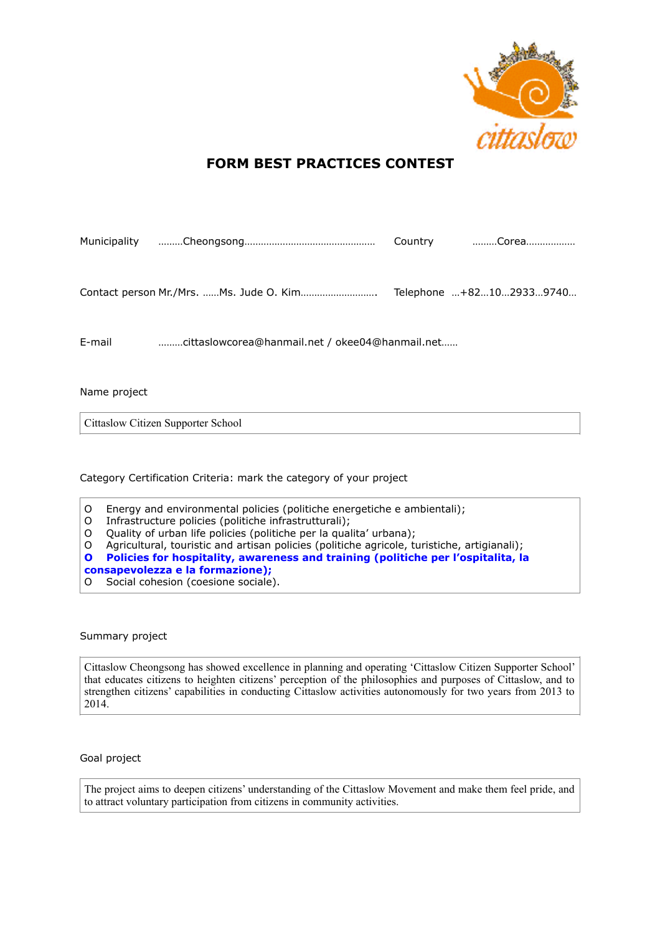

# **FORM BEST PRACTICES CONTEST**

|              |                                                 | Country Corea           |
|--------------|-------------------------------------------------|-------------------------|
|              |                                                 | Telephone +821029339740 |
| E-mail       | cittaslowcorea@hanmail.net / okee04@hanmail.net |                         |
| Name project |                                                 |                         |
|              | Cittaslow Citizen Supporter School              |                         |

Category Certification Criteria: mark the category of your project

| ιO Ξ | Energy and environmental policies (politiche energetiche e ambientali);                       |
|------|-----------------------------------------------------------------------------------------------|
|      | O Infrastructure policies (politiche infrastrutturali);                                       |
|      | O Quality of urban life policies (politiche per la qualita' urbana);                          |
|      | O Agricultural, touristic and artisan policies (politiche agricole, turistiche, artigianali); |
|      | O Policies for hospitality, awareness and training (politiche per l'ospitalita, la            |

**consapevolezza e la formazione);** O Social cohesion (coesione sociale).

Summary project

Cittaslow Cheongsong has showed excellence in planning and operating 'Cittaslow Citizen Supporter School' that educates citizens to heighten citizens' perception of the philosophies and purposes of Cittaslow, and to strengthen citizens' capabilities in conducting Cittaslow activities autonomously for two years from 2013 to 2014.

Goal project

The project aims to deepen citizens' understanding of the Cittaslow Movement and make them feel pride, and to attract voluntary participation from citizens in community activities.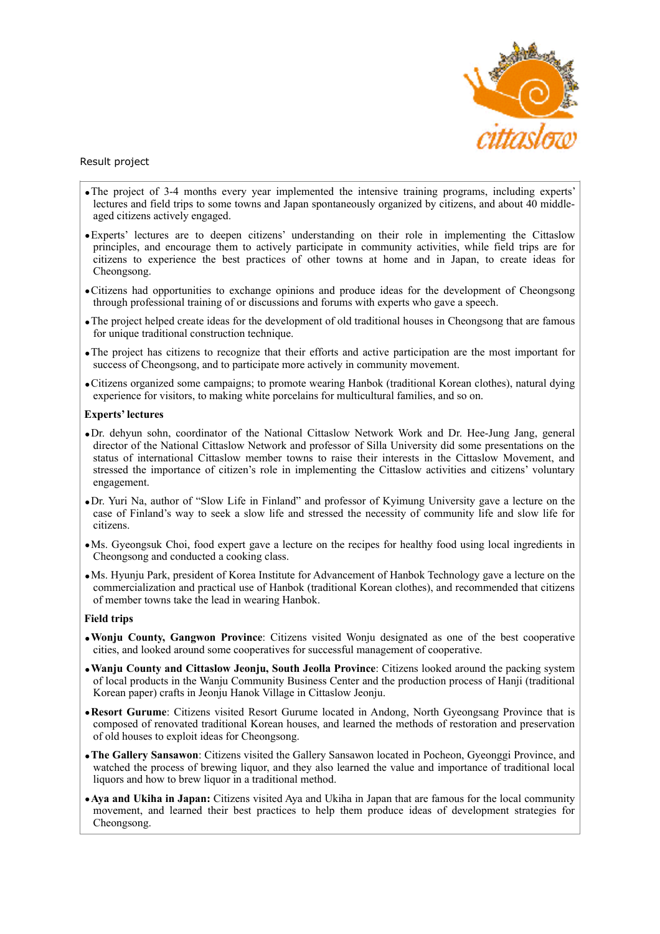

### Result project

- •The project of 3-4 months every year implemented the intensive training programs, including experts' lectures and field trips to some towns and Japan spontaneously organized by citizens, and about 40 middleaged citizens actively engaged.
- •Experts' lectures are to deepen citizens' understanding on their role in implementing the Cittaslow principles, and encourage them to actively participate in community activities, while field trips are for citizens to experience the best practices of other towns at home and in Japan, to create ideas for Cheongsong.
- •Citizens had opportunities to exchange opinions and produce ideas for the development of Cheongsong through professional training of or discussions and forums with experts who gave a speech.
- •The project helped create ideas for the development of old traditional houses in Cheongsong that are famous for unique traditional construction technique.
- •The project has citizens to recognize that their efforts and active participation are the most important for success of Cheongsong, and to participate more actively in community movement.
- •Citizens organized some campaigns; to promote wearing Hanbok (traditional Korean clothes), natural dying experience for visitors, to making white porcelains for multicultural families, and so on.

### **Experts' lectures**

- •Dr. dehyun sohn, coordinator of the National Cittaslow Network Work and Dr. Hee-Jung Jang, general director of the National Cittaslow Network and professor of Silla University did some presentations on the status of international Cittaslow member towns to raise their interests in the Cittaslow Movement, and stressed the importance of citizen's role in implementing the Cittaslow activities and citizens' voluntary engagement.
- •Dr. Yuri Na, author of "Slow Life in Finland" and professor of Kyimung University gave a lecture on the case of Finland's way to seek a slow life and stressed the necessity of community life and slow life for citizens.
- •Ms. Gyeongsuk Choi, food expert gave a lecture on the recipes for healthy food using local ingredients in Cheongsong and conducted a cooking class.
- •Ms. Hyunju Park, president of Korea Institute for Advancement of Hanbok Technology gave a lecture on the commercialization and practical use of Hanbok (traditional Korean clothes), and recommended that citizens of member towns take the lead in wearing Hanbok.

### **Field trips**

- •**Wonju County, Gangwon Province**: Citizens visited Wonju designated as one of the best cooperative cities, and looked around some cooperatives for successful management of cooperative.
- •**Wanju County and Cittaslow Jeonju, South Jeolla Province**: Citizens looked around the packing system of local products in the Wanju Community Business Center and the production process of Hanji (traditional Korean paper) crafts in Jeonju Hanok Village in Cittaslow Jeonju.
- •**Resort Gurume**: Citizens visited Resort Gurume located in Andong, North Gyeongsang Province that is composed of renovated traditional Korean houses, and learned the methods of restoration and preservation of old houses to exploit ideas for Cheongsong.
- •**The Gallery Sansawon**: Citizens visited the Gallery Sansawon located in Pocheon, Gyeonggi Province, and watched the process of brewing liquor, and they also learned the value and importance of traditional local liquors and how to brew liquor in a traditional method.
- •**Aya and Ukiha in Japan:** Citizens visited Aya and Ukiha in Japan that are famous for the local community movement, and learned their best practices to help them produce ideas of development strategies for Cheongsong.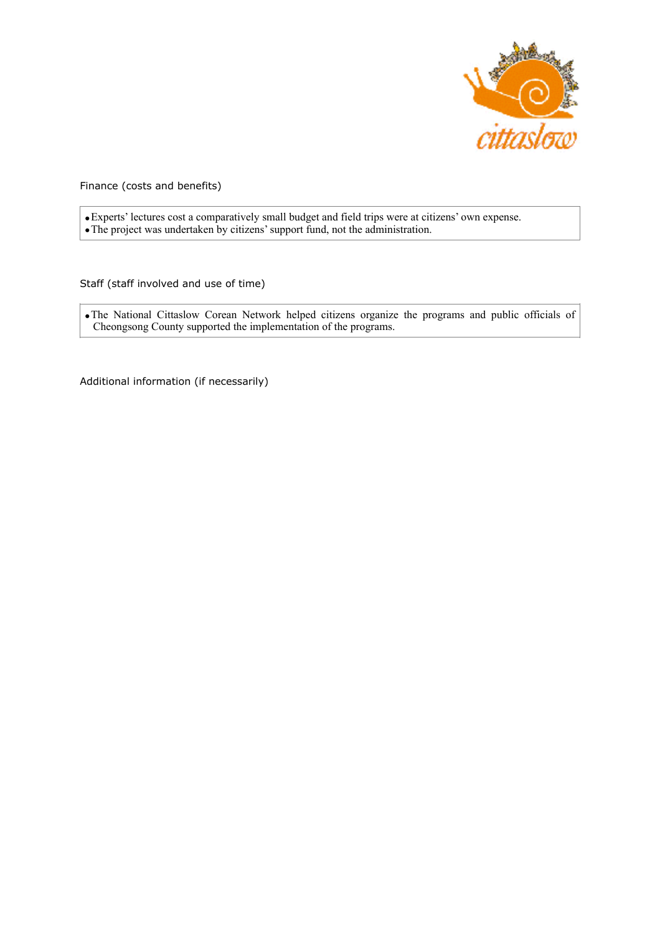

Finance (costs and benefits)

•Experts' lectures cost a comparatively small budget and field trips were at citizens' own expense. •The project was undertaken by citizens' support fund, not the administration.

Staff (staff involved and use of time)

•The National Cittaslow Corean Network helped citizens organize the programs and public officials of Cheongsong County supported the implementation of the programs.

Additional information (if necessarily)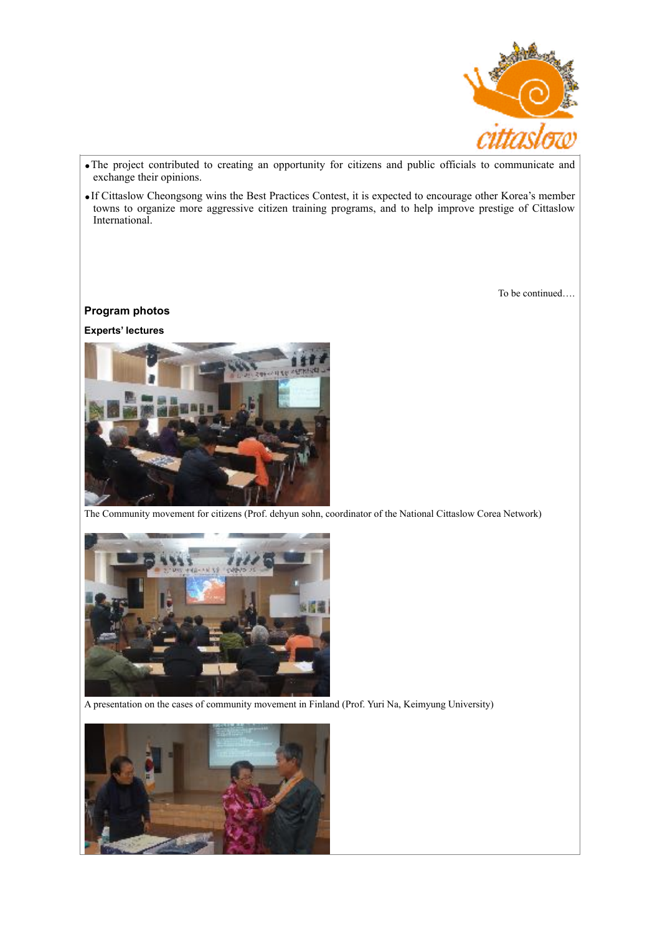

- •The project contributed to creating an opportunity for citizens and public officials to communicate and exchange their opinions.
- •If Cittaslow Cheongsong wins the Best Practices Contest, it is expected to encourage other Korea's member towns to organize more aggressive citizen training programs, and to help improve prestige of Cittaslow International.

To be continued….

## **Program photos**

**Experts' lectures**



The Community movement for citizens (Prof. dehyun sohn, coordinator of the National Cittaslow Corea Network)



A presentation on the cases of community movement in Finland (Prof. Yuri Na, Keimyung University)